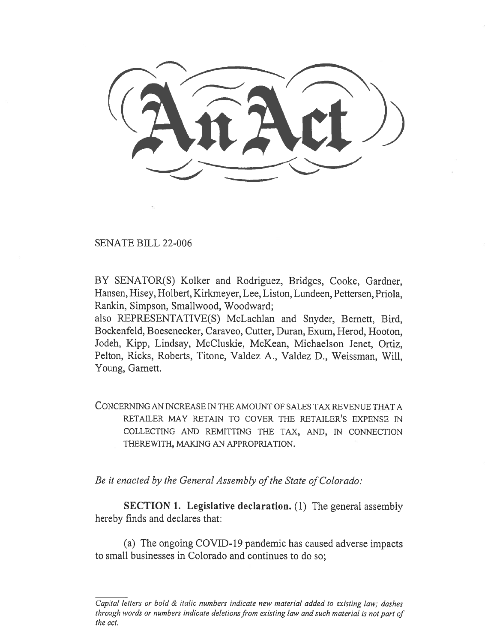SENATE BILL 22-006

BY SENATOR(S) Kolker and Rodriguez, Bridges, Cooke, Gardner, Hansen, Hisey, Holbert, Kirkmeyer, Lee, Liston, Lundeen, Pettersen, Priola, Rankin, Simpson, Smallwood, Woodward;

also REPRESENTATIVE(S) McLachlan and Snyder, Bernett, Bird, Bockenfeld, Boesenecker, Caraveo, Cutter, Duran, Exum, Herod, Hooton, Jodeh, Kipp, Lindsay, McCluskie, McKean, Michaelson Jenet, Ortiz, Pelton, Ricks, Roberts, Titone, Valdez A., Valdez D., Weissman, Will, Young, Garnett.

CONCERNING AN INCREASE IN THE AMOUNT OF SALES TAX REVENUE THAT A RETAILER MAY RETAIN TO COVER THE RETAILER'S EXPENSE IN COLLECTING AND REMITTING THE TAX, AND, IN CONNECTION THEREWITH, MAKING AN APPROPRIATION.

Be it enacted by the General Assembly of the State of Colorado:

SECTION 1. Legislative declaration. (1) The general assembly hereby finds and declares that:

(a) The ongoing COVID-19 pandemic has caused adverse impacts to small businesses in Colorado and continues to do so;

Capital letters or bold & italic numbers indicate new material added to existing law; dashes through words or numbers indicate deletions from existing law and such material is not part of the act.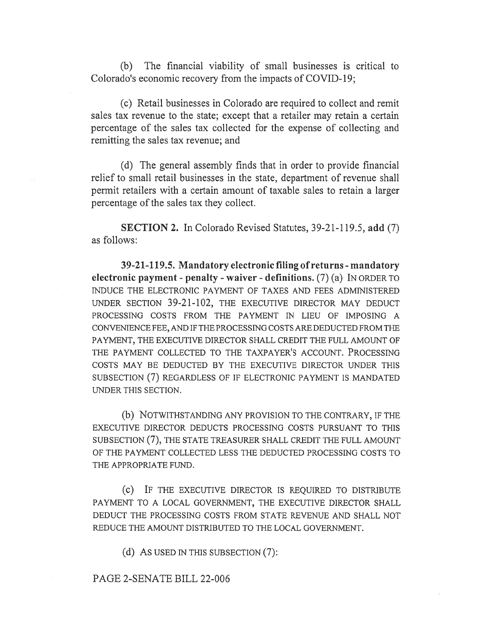(b) The financial viability of small businesses is critical to Colorado's economic recovery from the impacts of COVID-19;

(c) Retail businesses in Colorado are required to collect and remit sales tax revenue to the state; except that a retailer may retain a certain percentage of the sales tax collected for the expense of collecting and remitting the sales tax revenue; and

(d) The general assembly finds that in order to provide financial relief to small retail businesses in the state, department of revenue shall permit retailers with a certain amount of taxable sales to retain a larger percentage of the sales tax they collect.

SECTION 2. In Colorado Revised Statutes, 39-21-119.5, add (7) as follows:

39-21-119.5. Mandatory electronic filing of returns - mandatory electronic payment - penalty - waiver - definitions. (7) (a) IN ORDER TO INDUCE THE ELECTRONIC PAYMENT OF TAXES AND FEES ADMINISTERED UNDER SECTION 39-21-102, THE EXECUTIVE DIRECTOR MAY DEDUCT PROCESSING COSTS FROM THE PAYMENT IN LIEU OF IMPOSING A CONVENIENCE FEE, AND IF THE PROCESSING COSTS ARE DEDUCTED FROM THE PAYMENT, THE EXECUTIVE DIRECTOR SHALL CREDIT THE FULL AMOUNT OF THE PAYMENT COLLECTED TO THE TAXPAYER'S ACCOUNT. PROCESSING COSTS MAY BE DEDUCTED BY THE EXECUTIVE DIRECTOR UNDER THIS SUBSECTION (7) REGARDLESS OF IF ELECTRONIC PAYMENT IS MANDATED UNDER THIS SECTION.

(b) NOTWITHSTANDING ANY PROVISION TO THE CONTRARY, IF THE EXECUTIVE DIRECTOR DEDUCTS PROCESSING COSTS PURSUANT TO THIS SUBSECTION (7), THE STATE TREASURER SHALL CREDIT THE FULL AMOUNT OF THE PAYMENT COLLECTED LESS THE DEDUCTED PROCESSING COSTS TO THE APPROPRIATE FUND.

(c) IF THE EXECUTIVE DIRECTOR IS REQUIRED TO DISTRIBUTE PAYMENT TO A LOCAL GOVERNMENT, THE EXECUTIVE DIRECTOR SHALL DEDUCT THE PROCESSING COSTS FROM STATE REVENUE AND SHALL NOT REDUCE THE AMOUNT DISTRIBUTED TO THE LOCAL GOVERNMENT.

(d) AS USED IN THIS SUBSECTION (7):

## PAGE 2-SENATE BILL 22-006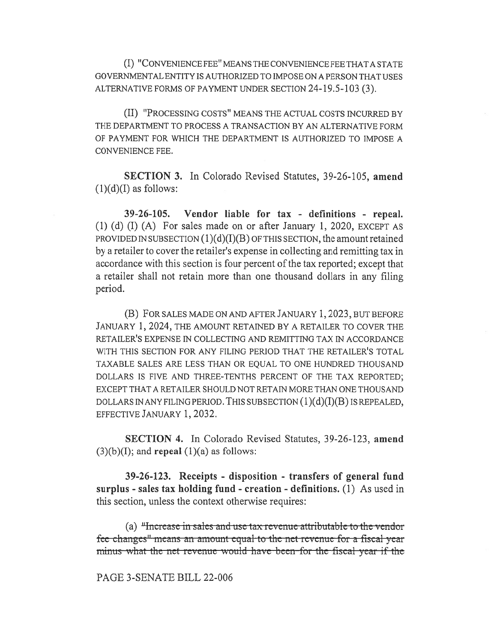(I) "CONVENIENCE FEE" MEANS THE CONVENIENCE FEE THAT A STATE GOVERNMENTAL ENTITY IS AUTHORIZED TO IMPOSE ON A PERSON THAT USES ALTERNATIVE FORMS OF PAYMENT UNDER SECTION 24-19.5-103 (3).

(II) "PROCESSING COSTS" MEANS THE ACTUAL COSTS INCURRED BY THE DEPARTMENT TO PROCESS A TRANSACTION BY AN ALTERNATIVE FORM OF PAYMENT FOR WHICH THE DEPARTMENT IS AUTHORIZED TO IMPOSE A CONVENIENCE FEE.

SECTION 3. In Colorado Revised Statutes, 39-26-105, amend  $(1)(d)(I)$  as follows:

39-26-105. Vendor liable for tax - definitions - repeal. (1) (d) (I) (A) For sales made on or after January 1, 2020, EXCEPT AS PROVIDED IN SUBSECTION  $(1)(d)(I)(B)$  OF THIS SECTION, the amount retained by a retailer to cover the retailer's expense in collecting and remitting tax in accordance with this section is four percent of the tax reported; except that a retailer shall not retain more than one thousand dollars in any filing period.

(B) FOR SALES MADE ON AND AFTER JANUARY 1, 2023, BUT BEFORE JANUARY 1, 2024, THE AMOUNT RETAINED BY A RETAILER TO COVER THE RETAILER'S EXPENSE IN COLLECTING AND REMITTING TAX IN ACCORDANCE WITH THIS SECTION FOR ANY FILING PERIOD THAT THE RETAILER'S TOTAL TAXABLE SALES ARE LESS THAN OR EQUAL TO ONE HUNDRED THOUSAND DOLLARS IS FIVE AND THREE-TENTHS PERCENT OF THE TAX REPORTED; EXCEPT THAT A RETAILER SHOULD NOT RETAIN MORE THAN ONE THOUSAND DOLLARS IN ANY FILING PERIOD. THIS SUBSECTION  $(1)(d)(I)(B)$  IS REPEALED, EFFECTIVE JANUARY 1, 2032.

SECTION 4. In Colorado Revised Statutes, 39-26-123, amend  $(3)(b)(I)$ ; and **repeal**  $(1)(a)$  as follows:

39-26-123. Receipts - disposition - transfers of general fund surplus - sales tax holding fund - creation - definitions. (1) As used in this section, unless the context otherwise requires:

(a)  $\mu$ -Hierrease in sales and use tax-revenue attributable to the vendor fee-changes<sup>"</sup>-means an amount-equal-to-the-net-revenue-for-a-fiscal-year minus what the net revenue would have been-for the fiscal year if the

## PAGE 3-SENATE BILL 22-006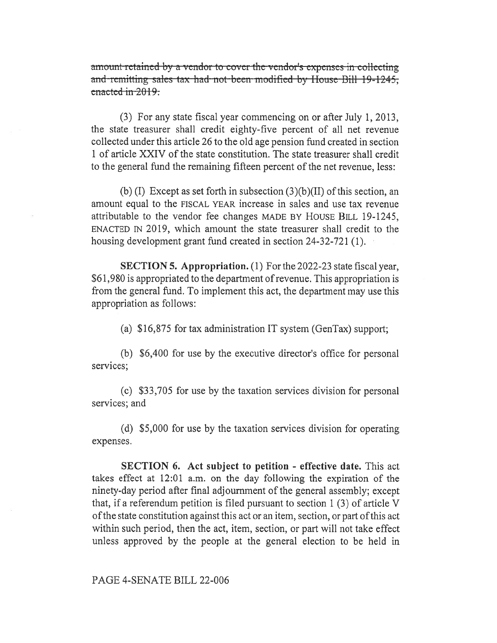amount-retained-by-a-vendor to cover the-vendor's expenses in collecting and-remitting-sales- tax-had-not-been-modified-by-House-Bill-19-1245; enacted in  $2019$ .

(3) For any state fiscal year commencing on or after July 1, 2013, the state treasurer shall credit eighty-five percent of all net revenue collected under this article 26 to the old age pension fund created in section 1 of article XXIV of the state constitution. The state treasurer shall credit to the general fund the remaining fifteen percent of the net revenue, less:

(b) (I) Except as set forth in subsection  $(3)(b)(II)$  of this section, an amount equal to the FISCAL YEAR increase in sales and use tax revenue attributable to the vendor fee changes MADE BY HOUSE BILL 19-1245, ENACTED IN 2019, which amount the state treasurer shall credit to the housing development grant fund created in section 24-32-721 (1).

SECTION 5. Appropriation. (1) For the 2022-23 state fiscal year, \$61,980 is appropriated to the department of revenue. This appropriation is from the general fund. To implement this act, the department may use this appropriation as follows:

(a) \$16,875 for tax administration IT system (GenTax) support;

(b) \$6,400 for use by the executive director's office for personal services;

(c) \$33,705 for use by the taxation services division for personal services; and

(d) \$5,000 for use by the taxation services division for operating expenses.

SECTION 6. Act subject to petition - effective date. This act takes effect at 12:01 a.m. on the day following the expiration of the ninety-day period after final adjournment of the general assembly; except that, if a referendum petition is filed pursuant to section 1 (3) of article V of the state constitution against this act or an item, section, or part of this act within such period, then the act, item, section, or part will not take effect unless approved by the people at the general election to be held in

PAGE 4-SENATE BILL 22-006